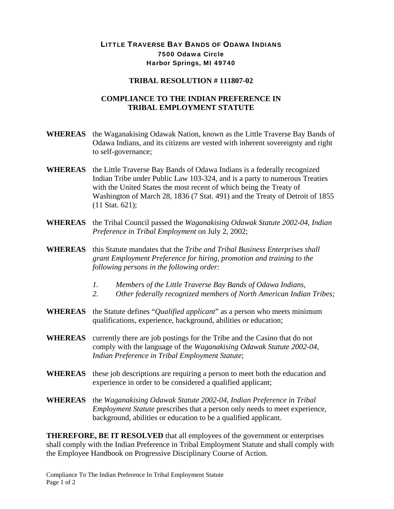## LITTLE TRAVERSE BAY BANDS OF ODAWA INDIANS 7500 Odawa Circle Harbor Springs, MI 49740

## **TRIBAL RESOLUTION # 111807-02**

## **COMPLIANCE TO THE INDIAN PREFERENCE IN TRIBAL EMPLOYMENT STATUTE**

- **WHEREAS** the Waganakising Odawak Nation, known as the Little Traverse Bay Bands of Odawa Indians, and its citizens are vested with inherent sovereignty and right to self-governance;
- **WHEREAS** the Little Traverse Bay Bands of Odawa Indians is a federally recognized Indian Tribe under Public Law 103-324, and is a party to numerous Treaties with the United States the most recent of which being the Treaty of Washington of March 28, 1836 (7 Stat. 491) and the Treaty of Detroit of 1855 (11 Stat. 621);
- **WHEREAS** the Tribal Council passed the *Waganakising Odawak Statute 2002-04, Indian Preference in Tribal Employment* on July 2, 2002;
- **WHEREAS** this Statute mandates that the *Tribe and Tribal Business Enterprises shall grant Employment Preference for hiring, promotion and training to the following persons in the following order:* 
	- *1. Members of the Little Traverse Bay Bands of Odawa Indians,*
	- *2. Other federally recognized members of North American Indian Tribes;*
- **WHEREAS** the Statute defines "*Qualified applicant*" as a person who meets minimum qualifications, experience, background, abilities or education;
- **WHEREAS** currently there are job postings for the Tribe and the Casino that do not comply with the language of the *Waganakising Odawak Statute 2002-04, Indian Preference in Tribal Employment Statute*;
- **WHEREAS** these job descriptions are requiring a person to meet both the education and experience in order to be considered a qualified applicant;
- **WHEREAS** the *Waganakising Odawak Statute 2002-04, Indian Preference in Tribal Employment Statute* prescribes that a person only needs to meet experience, background, abilities or education to be a qualified applicant.

**THEREFORE, BE IT RESOLVED** that all employees of the government or enterprises shall comply with the Indian Preference in Tribal Employment Statute and shall comply with the Employee Handbook on Progressive Disciplinary Course of Action.